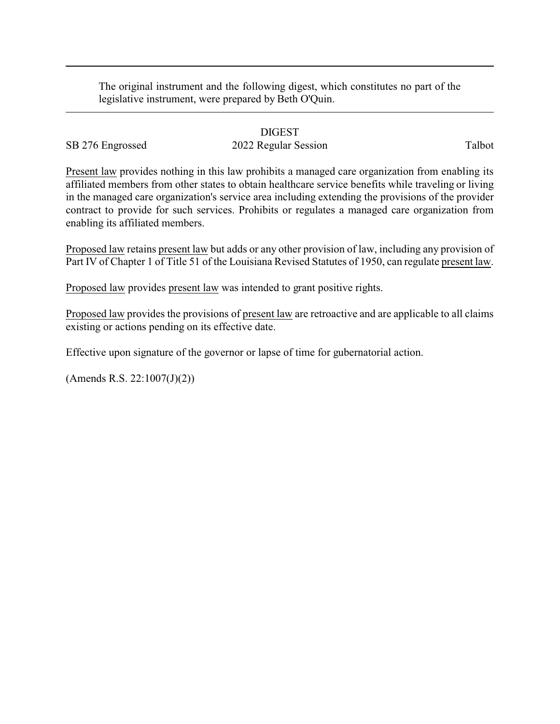The original instrument and the following digest, which constitutes no part of the legislative instrument, were prepared by Beth O'Quin.

## DIGEST

## SB 276 Engrossed 2022 Regular Session Talbot

Present law provides nothing in this law prohibits a managed care organization from enabling its affiliated members from other states to obtain healthcare service benefits while traveling or living in the managed care organization's service area including extending the provisions of the provider contract to provide for such services. Prohibits or regulates a managed care organization from enabling its affiliated members.

Proposed law retains present law but adds or any other provision of law, including any provision of Part IV of Chapter 1 of Title 51 of the Louisiana Revised Statutes of 1950, can regulate present law.

Proposed law provides present law was intended to grant positive rights.

Proposed law provides the provisions of present law are retroactive and are applicable to all claims existing or actions pending on its effective date.

Effective upon signature of the governor or lapse of time for gubernatorial action.

(Amends R.S. 22:1007(J)(2))